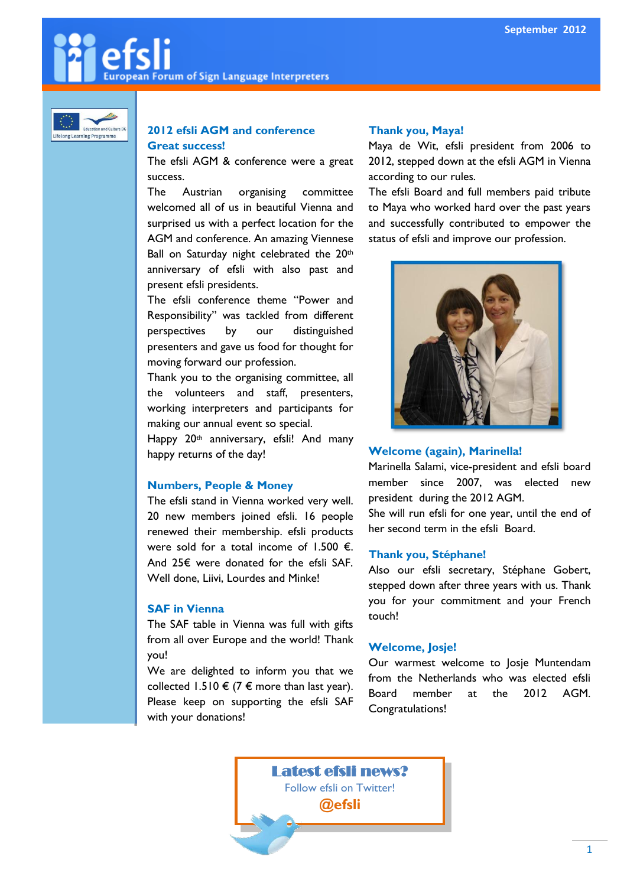# **European Forum of Sign Language Interpreters**



#### **2012 efsli AGM and conference Great success!**

The efsli AGM & conference were a great success.

The Austrian organising committee welcomed all of us in beautiful Vienna and surprised us with a perfect location for the AGM and conference. An amazing Viennese Ball on Saturday night celebrated the 20th anniversary of efsli with also past and present efsli presidents.

The efsli conference theme "Power and Responsibility" was tackled from different perspectives by our distinguished presenters and gave us food for thought for moving forward our profession.

Thank you to the organising committee, all the volunteers and staff, presenters, working interpreters and participants for making our annual event so special.

Happy 20<sup>th</sup> anniversary, efsli! And many happy returns of the day!

### **Numbers, People & Money**

The efsli stand in Vienna worked very well. 20 new members joined efsli. 16 people renewed their membership. efsli products were sold for a total income of 1.500  $\epsilon$ . And 25€ were donated for the efsli SAF. Well done, Liivi, Lourdes and Minke!

#### **SAF in Vienna**

The SAF table in Vienna was full with gifts from all over Europe and the world! Thank you!

We are delighted to inform you that we collected 1.510 € (7 € more than last year). Please keep on supporting the efsli SAF with your donations!

### **Thank you, Maya!**

Maya de Wit, efsli president from 2006 to 2012, stepped down at the efsli AGM in Vienna according to our rules.

The efsli Board and full members paid tribute to Maya who worked hard over the past years and successfully contributed to empower the status of efsli and improve our profession.



### **Welcome (again), Marinella!**

Marinella Salami, vice-president and efsli board member since 2007, was elected new president during the 2012 AGM.

She will run efsli for one year, until the end of her second term in the efsli Board.

### **Thank you, Stéphane!**

Also our efsli secretary, Stéphane Gobert, stepped down after three years with us. Thank you for your commitment and your French touch!

### **Welcome, Josje!**

Our warmest welcome to Josje Muntendam from the Netherlands who was elected efsli Board member at the 2012 AGM. Congratulations!

Latest efsli news? Follow efsli on Twitter! **@efsli**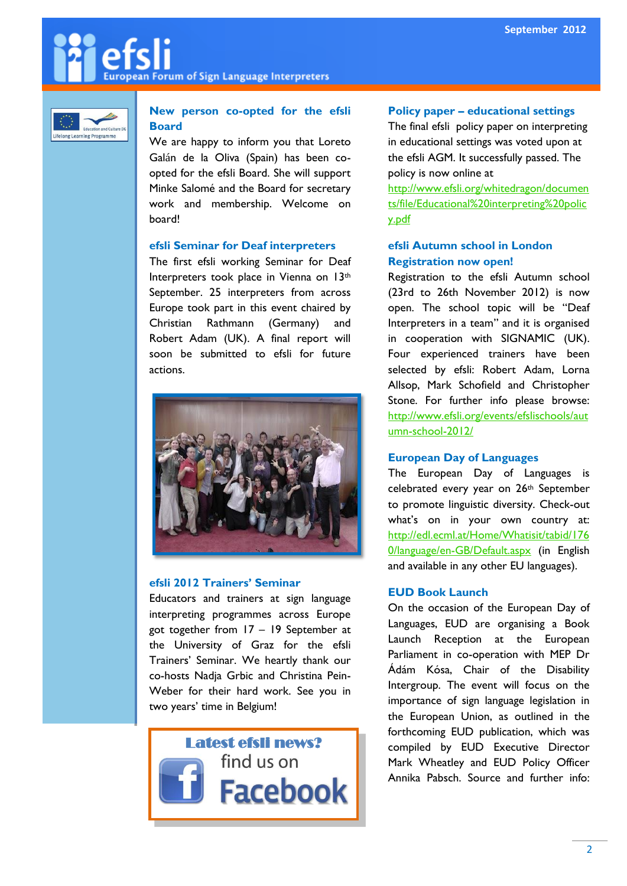# **European Forum of Sign Language Interpreters**



# **New person co-opted for the efsli Board**

We are happy to inform you that Loreto Galán de la Oliva (Spain) has been coopted for the efsli Board. She will support Minke Salomé and the Board for secretary work and membership. Welcome on board!

#### **efsli Seminar for Deaf interpreters**

The first efsli working Seminar for Deaf Interpreters took place in Vienna on 13th September. 25 interpreters from across Europe took part in this event chaired by Christian Rathmann (Germany) and Robert Adam (UK). A final report will soon be submitted to efsli for future actions.



#### **efsli 2012 Trainers' Seminar**

Educators and trainers at sign language interpreting programmes across Europe got together from 17 – 19 September at the University of Graz for the efsli Trainers' Seminar. We heartly thank our co-hosts Nadja Grbic and Christina Pein-Weber for their hard work. See you in two years' time in Belgium!



#### **Policy paper – educational settings**

The final efsli policy paper on interpreting in educational settings was voted upon at the efsli AGM. It successfully passed. The policy is now online at

[http://www.efsli.org/whitedragon/documen](http://www.efsli.org/whitedragon/documents/file/Educational%20interpreting%20policy.pdf) [ts/file/Educational%20interpreting%20polic](http://www.efsli.org/whitedragon/documents/file/Educational%20interpreting%20policy.pdf) [y.pdf](http://www.efsli.org/whitedragon/documents/file/Educational%20interpreting%20policy.pdf)

#### **efsli Autumn school in London Registration now open!**

Registration to the efsli Autumn school (23rd to 26th November 2012) is now open. The school topic will be "Deaf Interpreters in a team" and it is organised in cooperation with SIGNAMIC (UK). Four experienced trainers have been selected by efsli: Robert Adam, Lorna Allsop, Mark Schofield and Christopher Stone. For further info please browse: [http://www.efsli.org/events/efslischools/aut](http://www.efsli.org/events/efslischools/autumn-school-2012/) [umn-school-2012/](http://www.efsli.org/events/efslischools/autumn-school-2012/)

### **European Day of Languages**

The European Day of Languages is celebrated every year on 26<sup>th</sup> September to promote linguistic diversity. Check-out what's on in your own country at: [http://edl.ecml.at/Home/Whatisit/tabid/176](http://edl.ecml.at/Home/Whatisit/tabid/1760/language/en-GB/Default.aspx) [0/language/en-GB/Default.aspx](http://edl.ecml.at/Home/Whatisit/tabid/1760/language/en-GB/Default.aspx) (in English and available in any other EU languages).

### **EUD Book Launch**

On the occasion of the European Day of Languages, EUD are organising a Book Launch Reception at the European Parliament in co-operation with MEP Dr Ádám Kósa, Chair of the Disability Intergroup. The event will focus on the importance of sign language legislation in the European Union, as outlined in the forthcoming EUD publication, which was compiled by EUD Executive Director Mark Wheatley and EUD Policy Officer Annika Pabsch. Source and further info: